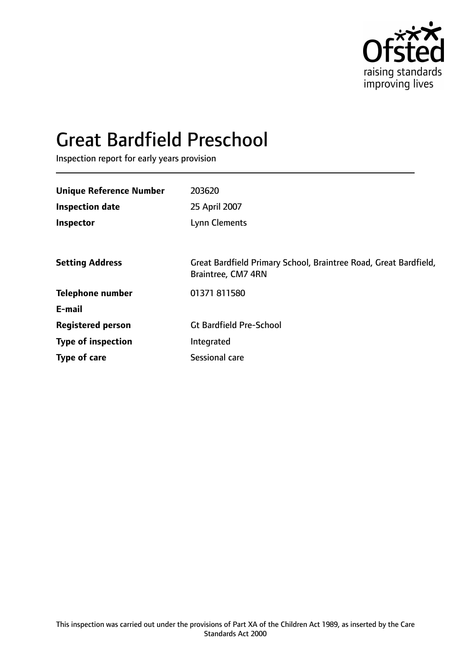

# Great Bardfield Preschool

Inspection report for early years provision

| <b>Unique Reference Number</b> | 203620                                                                                 |
|--------------------------------|----------------------------------------------------------------------------------------|
| <b>Inspection date</b>         | 25 April 2007                                                                          |
| Inspector                      | Lynn Clements                                                                          |
|                                |                                                                                        |
| <b>Setting Address</b>         | Great Bardfield Primary School, Braintree Road, Great Bardfield,<br>Braintree, CM7 4RN |
| <b>Telephone number</b>        | 01371 811580                                                                           |
| E-mail                         |                                                                                        |
| <b>Registered person</b>       | <b>Gt Bardfield Pre-School</b>                                                         |
| <b>Type of inspection</b>      | Integrated                                                                             |
| Type of care                   | Sessional care                                                                         |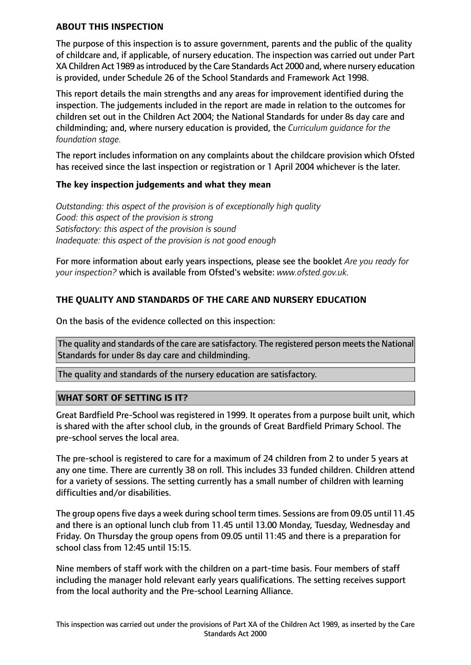## **ABOUT THIS INSPECTION**

The purpose of this inspection is to assure government, parents and the public of the quality of childcare and, if applicable, of nursery education. The inspection was carried out under Part XA Children Act 1989 as introduced by the Care Standards Act 2000 and, where nursery education is provided, under Schedule 26 of the School Standards and Framework Act 1998.

This report details the main strengths and any areas for improvement identified during the inspection. The judgements included in the report are made in relation to the outcomes for children set out in the Children Act 2004; the National Standards for under 8s day care and childminding; and, where nursery education is provided, the *Curriculum guidance for the foundation stage.*

The report includes information on any complaints about the childcare provision which Ofsted has received since the last inspection or registration or 1 April 2004 whichever is the later.

## **The key inspection judgements and what they mean**

*Outstanding: this aspect of the provision is of exceptionally high quality Good: this aspect of the provision is strong Satisfactory: this aspect of the provision is sound Inadequate: this aspect of the provision is not good enough*

For more information about early years inspections, please see the booklet *Are you ready for your inspection?* which is available from Ofsted's website: *www.ofsted.gov.uk.*

## **THE QUALITY AND STANDARDS OF THE CARE AND NURSERY EDUCATION**

On the basis of the evidence collected on this inspection:

The quality and standards of the care are satisfactory. The registered person meets the National Standards for under 8s day care and childminding.

The quality and standards of the nursery education are satisfactory.

## **WHAT SORT OF SETTING IS IT?**

Great Bardfield Pre-School was registered in 1999. It operates from a purpose built unit, which is shared with the after school club, in the grounds of Great Bardfield Primary School. The pre-school serves the local area.

The pre-school is registered to care for a maximum of 24 children from 2 to under 5 years at any one time. There are currently 38 on roll. This includes 33 funded children. Children attend for a variety of sessions. The setting currently has a small number of children with learning difficulties and/or disabilities.

The group opens five days a week during school term times. Sessions are from 09.05 until 11.45 and there is an optional lunch club from 11.45 until 13.00 Monday, Tuesday, Wednesday and Friday. On Thursday the group opens from 09.05 until 11:45 and there is a preparation for school class from 12:45 until 15:15.

Nine members of staff work with the children on a part-time basis. Four members of staff including the manager hold relevant early years qualifications. The setting receives support from the local authority and the Pre-school Learning Alliance.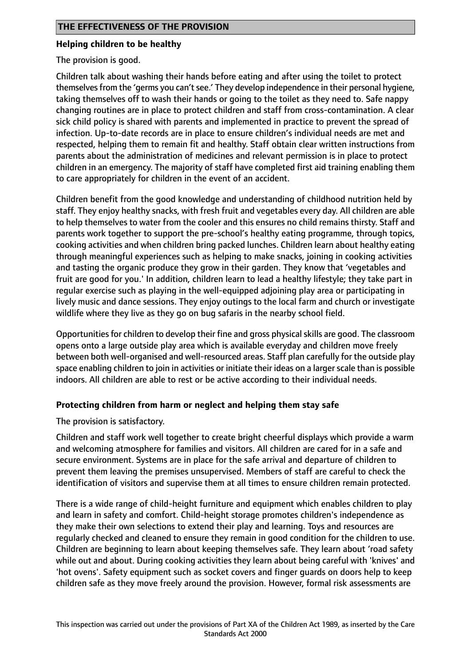## **Helping children to be healthy**

The provision is good.

Children talk about washing their hands before eating and after using the toilet to protect themselves from the 'germs you can't see.' They develop independence in their personal hygiene, taking themselves off to wash their hands or going to the toilet as they need to. Safe nappy changing routines are in place to protect children and staff from cross-contamination. A clear sick child policy is shared with parents and implemented in practice to prevent the spread of infection. Up-to-date records are in place to ensure children's individual needs are met and respected, helping them to remain fit and healthy. Staff obtain clear written instructions from parents about the administration of medicines and relevant permission is in place to protect children in an emergency. The majority of staff have completed first aid training enabling them to care appropriately for children in the event of an accident.

Children benefit from the good knowledge and understanding of childhood nutrition held by staff. They enjoy healthy snacks, with fresh fruit and vegetables every day. All children are able to help themselves to water from the cooler and this ensures no child remains thirsty. Staff and parents work together to support the pre-school's healthy eating programme, through topics, cooking activities and when children bring packed lunches. Children learn about healthy eating through meaningful experiences such as helping to make snacks, joining in cooking activities and tasting the organic produce they grow in their garden. They know that 'vegetables and fruit are good for you.' In addition, children learn to lead a healthy lifestyle; they take part in regular exercise such as playing in the well-equipped adjoining play area or participating in lively music and dance sessions. They enjoy outings to the local farm and church or investigate wildlife where they live as they go on bug safaris in the nearby school field.

Opportunities for children to develop their fine and gross physical skills are good. The classroom opens onto a large outside play area which is available everyday and children move freely between both well-organised and well-resourced areas. Staff plan carefully for the outside play space enabling children to join in activities or initiate their ideas on a larger scale than is possible indoors. All children are able to rest or be active according to their individual needs.

## **Protecting children from harm or neglect and helping them stay safe**

The provision is satisfactory.

Children and staff work well together to create bright cheerful displays which provide a warm and welcoming atmosphere for families and visitors. All children are cared for in a safe and secure environment. Systems are in place for the safe arrival and departure of children to prevent them leaving the premises unsupervised. Members of staff are careful to check the identification of visitors and supervise them at all times to ensure children remain protected.

There is a wide range of child-height furniture and equipment which enables children to play and learn in safety and comfort. Child-height storage promotes children's independence as they make their own selections to extend their play and learning. Toys and resources are regularly checked and cleaned to ensure they remain in good condition for the children to use. Children are beginning to learn about keeping themselves safe. They learn about 'road safety while out and about. During cooking activities they learn about being careful with 'knives' and 'hot ovens'. Safety equipment such as socket covers and finger guards on doors help to keep children safe as they move freely around the provision. However, formal risk assessments are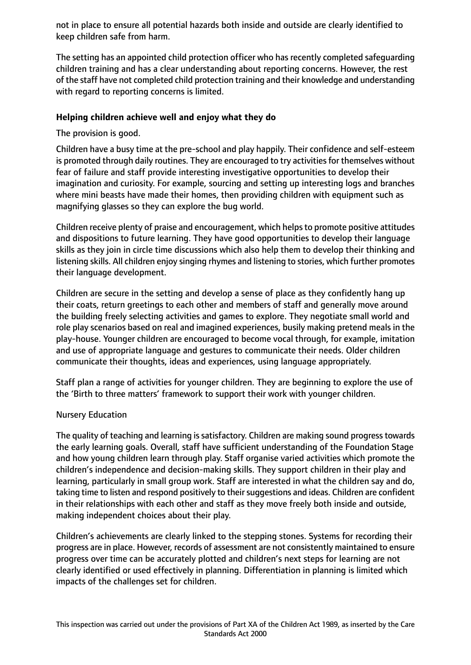not in place to ensure all potential hazards both inside and outside are clearly identified to keep children safe from harm.

The setting has an appointed child protection officer who has recently completed safeguarding children training and has a clear understanding about reporting concerns. However, the rest of the staff have not completed child protection training and their knowledge and understanding with regard to reporting concerns is limited.

## **Helping children achieve well and enjoy what they do**

The provision is good.

Children have a busy time at the pre-school and play happily. Their confidence and self-esteem is promoted through daily routines. They are encouraged to try activities for themselves without fear of failure and staff provide interesting investigative opportunities to develop their imagination and curiosity. For example, sourcing and setting up interesting logs and branches where mini beasts have made their homes, then providing children with equipment such as magnifying glasses so they can explore the bug world.

Children receive plenty of praise and encouragement, which helpsto promote positive attitudes and dispositions to future learning. They have good opportunities to develop their language skills as they join in circle time discussions which also help them to develop their thinking and listening skills. All children enjoy singing rhymes and listening to stories, which further promotes their language development.

Children are secure in the setting and develop a sense of place as they confidently hang up their coats, return greetings to each other and members of staff and generally move around the building freely selecting activities and games to explore. They negotiate small world and role play scenarios based on real and imagined experiences, busily making pretend meals in the play-house. Younger children are encouraged to become vocal through, for example, imitation and use of appropriate language and gestures to communicate their needs. Older children communicate their thoughts, ideas and experiences, using language appropriately.

Staff plan a range of activities for younger children. They are beginning to explore the use of the 'Birth to three matters' framework to support their work with younger children.

## Nursery Education

The quality of teaching and learning is satisfactory. Children are making sound progress towards the early learning goals. Overall, staff have sufficient understanding of the Foundation Stage and how young children learn through play. Staff organise varied activities which promote the children's independence and decision-making skills. They support children in their play and learning, particularly in small group work. Staff are interested in what the children say and do, taking time to listen and respond positively to their suggestions and ideas. Children are confident in their relationships with each other and staff as they move freely both inside and outside, making independent choices about their play.

Children's achievements are clearly linked to the stepping stones. Systems for recording their progress are in place. However, records of assessment are not consistently maintained to ensure progress over time can be accurately plotted and children's next steps for learning are not clearly identified or used effectively in planning. Differentiation in planning is limited which impacts of the challenges set for children.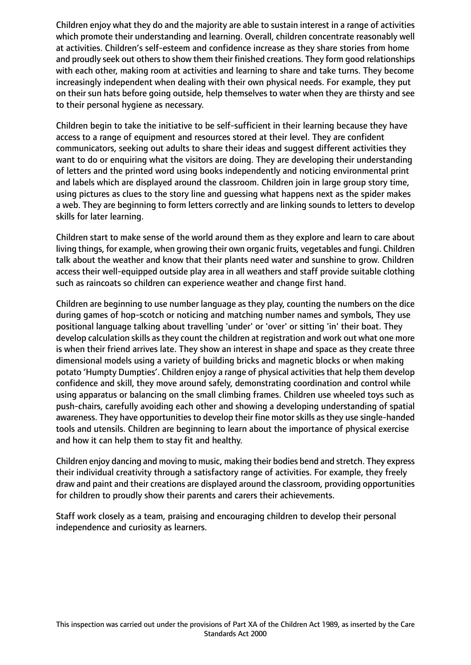Children enjoy what they do and the majority are able to sustain interest in a range of activities which promote their understanding and learning. Overall, children concentrate reasonably well at activities. Children's self-esteem and confidence increase as they share stories from home and proudly seek out others to show them their finished creations. They form good relationships with each other, making room at activities and learning to share and take turns. They become increasingly independent when dealing with their own physical needs. For example, they put on their sun hats before going outside, help themselves to water when they are thirsty and see to their personal hygiene as necessary.

Children begin to take the initiative to be self-sufficient in their learning because they have access to a range of equipment and resources stored at their level. They are confident communicators, seeking out adults to share their ideas and suggest different activities they want to do or enquiring what the visitors are doing. They are developing their understanding of letters and the printed word using books independently and noticing environmental print and labels which are displayed around the classroom. Children join in large group story time, using pictures as clues to the story line and guessing what happens next as the spider makes a web. They are beginning to form letters correctly and are linking sounds to letters to develop skills for later learning.

Children start to make sense of the world around them as they explore and learn to care about living things, for example, when growing their own organic fruits, vegetables and fungi. Children talk about the weather and know that their plants need water and sunshine to grow. Children access their well-equipped outside play area in all weathers and staff provide suitable clothing such as raincoats so children can experience weather and change first hand.

Children are beginning to use number language as they play, counting the numbers on the dice during games of hop-scotch or noticing and matching number names and symbols, They use positional language talking about travelling 'under' or 'over' or sitting 'in' their boat. They develop calculation skills as they count the children at registration and work out what one more is when their friend arrives late. They show an interest in shape and space as they create three dimensional models using a variety of building bricks and magnetic blocks or when making potato 'Humpty Dumpties'. Children enjoy a range of physical activities that help them develop confidence and skill, they move around safely, demonstrating coordination and control while using apparatus or balancing on the small climbing frames. Children use wheeled toys such as push-chairs, carefully avoiding each other and showing a developing understanding of spatial awareness. They have opportunities to develop their fine motor skills as they use single-handed tools and utensils. Children are beginning to learn about the importance of physical exercise and how it can help them to stay fit and healthy.

Children enjoy dancing and moving to music, making their bodies bend and stretch. They express their individual creativity through a satisfactory range of activities. For example, they freely draw and paint and their creations are displayed around the classroom, providing opportunities for children to proudly show their parents and carers their achievements.

Staff work closely as a team, praising and encouraging children to develop their personal independence and curiosity as learners.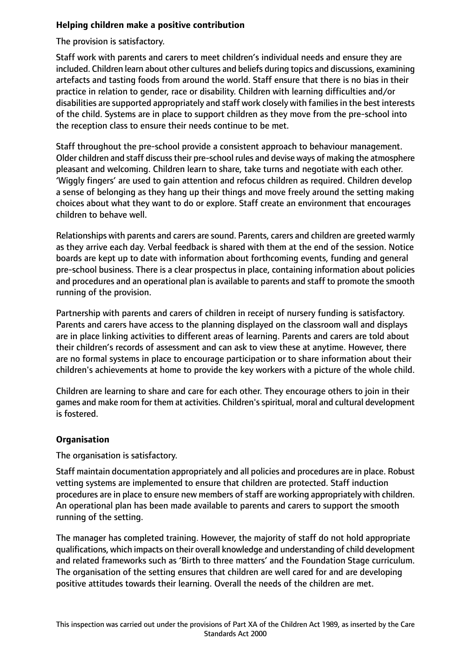## **Helping children make a positive contribution**

The provision is satisfactory.

Staff work with parents and carers to meet children's individual needs and ensure they are included. Children learn about other cultures and beliefs during topics and discussions, examining artefacts and tasting foods from around the world. Staff ensure that there is no bias in their practice in relation to gender, race or disability. Children with learning difficulties and/or disabilities are supported appropriately and staff work closely with families in the best interests of the child. Systems are in place to support children as they move from the pre-school into the reception class to ensure their needs continue to be met.

Staff throughout the pre-school provide a consistent approach to behaviour management. Older children and staff discuss their pre-school rules and devise ways of making the atmosphere pleasant and welcoming. Children learn to share, take turns and negotiate with each other. 'Wiggly fingers' are used to gain attention and refocus children as required. Children develop a sense of belonging as they hang up their things and move freely around the setting making choices about what they want to do or explore. Staff create an environment that encourages children to behave well.

Relationships with parents and carers are sound. Parents, carers and children are greeted warmly as they arrive each day. Verbal feedback is shared with them at the end of the session. Notice boards are kept up to date with information about forthcoming events, funding and general pre-school business. There is a clear prospectus in place, containing information about policies and procedures and an operational plan is available to parents and staff to promote the smooth running of the provision.

Partnership with parents and carers of children in receipt of nursery funding is satisfactory. Parents and carers have access to the planning displayed on the classroom wall and displays are in place linking activities to different areas of learning. Parents and carers are told about their children's records of assessment and can ask to view these at anytime. However, there are no formal systems in place to encourage participation or to share information about their children's achievements at home to provide the key workers with a picture of the whole child.

Children are learning to share and care for each other. They encourage others to join in their games and make room for them at activities. Children'sspiritual, moral and cultural development is fostered.

# **Organisation**

The organisation is satisfactory.

Staff maintain documentation appropriately and all policies and procedures are in place. Robust vetting systems are implemented to ensure that children are protected. Staff induction procedures are in place to ensure new members of staff are working appropriately with children. An operational plan has been made available to parents and carers to support the smooth running of the setting.

The manager has completed training. However, the majority of staff do not hold appropriate qualifications, which impacts on their overall knowledge and understanding of child development and related frameworks such as 'Birth to three matters' and the Foundation Stage curriculum. The organisation of the setting ensures that children are well cared for and are developing positive attitudes towards their learning. Overall the needs of the children are met.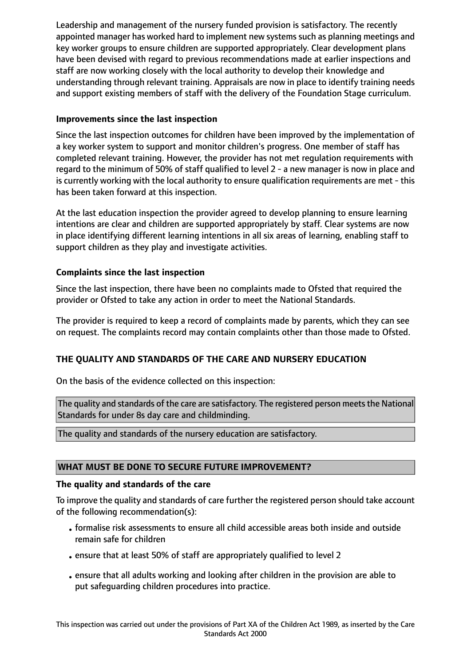Leadership and management of the nursery funded provision is satisfactory. The recently appointed manager has worked hard to implement new systems such as planning meetings and key worker groups to ensure children are supported appropriately. Clear development plans have been devised with regard to previous recommendations made at earlier inspections and staff are now working closely with the local authority to develop their knowledge and understanding through relevant training. Appraisals are now in place to identify training needs and support existing members of staff with the delivery of the Foundation Stage curriculum.

## **Improvements since the last inspection**

Since the last inspection outcomes for children have been improved by the implementation of a key worker system to support and monitor children's progress. One member of staff has completed relevant training. However, the provider has not met regulation requirements with regard to the minimum of 50% of staff qualified to level 2 - a new manager is now in place and is currently working with the local authority to ensure qualification requirements are met - this has been taken forward at this inspection.

At the last education inspection the provider agreed to develop planning to ensure learning intentions are clear and children are supported appropriately by staff. Clear systems are now in place identifying different learning intentions in all six areas of learning, enabling staff to support children as they play and investigate activities.

# **Complaints since the last inspection**

Since the last inspection, there have been no complaints made to Ofsted that required the provider or Ofsted to take any action in order to meet the National Standards.

The provider is required to keep a record of complaints made by parents, which they can see on request. The complaints record may contain complaints other than those made to Ofsted.

# **THE QUALITY AND STANDARDS OF THE CARE AND NURSERY EDUCATION**

On the basis of the evidence collected on this inspection:

The quality and standards of the care are satisfactory. The registered person meets the National Standards for under 8s day care and childminding.

The quality and standards of the nursery education are satisfactory.

## **WHAT MUST BE DONE TO SECURE FUTURE IMPROVEMENT?**

## **The quality and standards of the care**

To improve the quality and standards of care further the registered person should take account of the following recommendation(s):

- •formalise risk assessments to ensure all child accessible areas both inside and outside remain safe for children
- •ensure that at least 50% of staff are appropriately qualified to level 2
- •ensure that all adults working and looking after children in the provision are able to put safeguarding children procedures into practice.